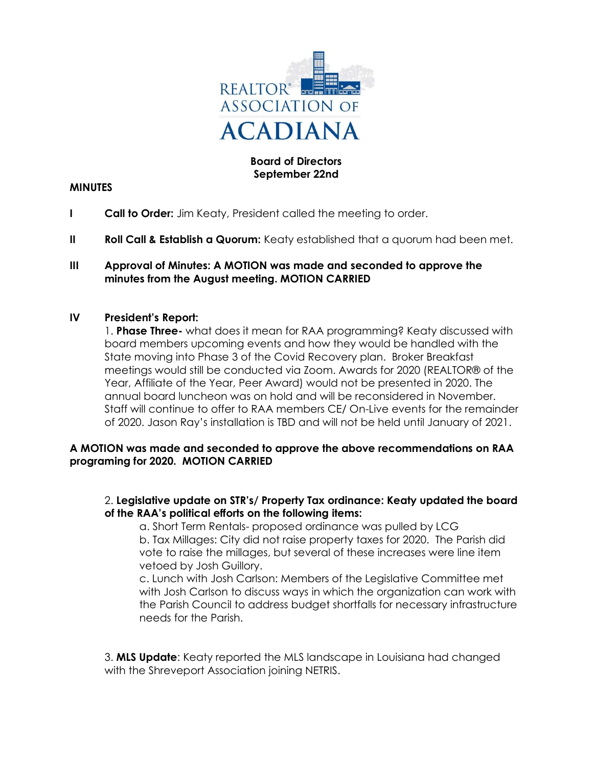

# Board of Directors September 22nd

#### **MINUTES**

- I Call to Order: Jim Keaty, President called the meeting to order.
- II Roll Call & Establish a Quorum: Keaty established that a quorum had been met.

#### III Approval of Minutes: A MOTION was made and seconded to approve the minutes from the August meeting. MOTION CARRIED

### IV President's Report:

1. Phase Three- what does it mean for RAA programming? Keaty discussed with board members upcoming events and how they would be handled with the State moving into Phase 3 of the Covid Recovery plan. Broker Breakfast meetings would still be conducted via Zoom. Awards for 2020 (REALTOR® of the Year, Affiliate of the Year, Peer Award) would not be presented in 2020. The annual board luncheon was on hold and will be reconsidered in November. Staff will continue to offer to RAA members CE/ On-Live events for the remainder of 2020. Jason Ray's installation is TBD and will not be held until January of 2021.

### A MOTION was made and seconded to approve the above recommendations on RAA programing for 2020. MOTION CARRIED

### 2. Legislative update on STR's/ Property Tax ordinance: Keaty updated the board of the RAA's political efforts on the following items:

 a. Short Term Rentals- proposed ordinance was pulled by LCG b. Tax Millages: City did not raise property taxes for 2020. The Parish did vote to raise the millages, but several of these increases were line item vetoed by Josh Guillory.

 c. Lunch with Josh Carlson: Members of the Legislative Committee met with Josh Carlson to discuss ways in which the organization can work with the Parish Council to address budget shortfalls for necessary infrastructure needs for the Parish.

3. MLS Update: Keaty reported the MLS landscape in Louisiana had changed with the Shreveport Association joining NETRIS.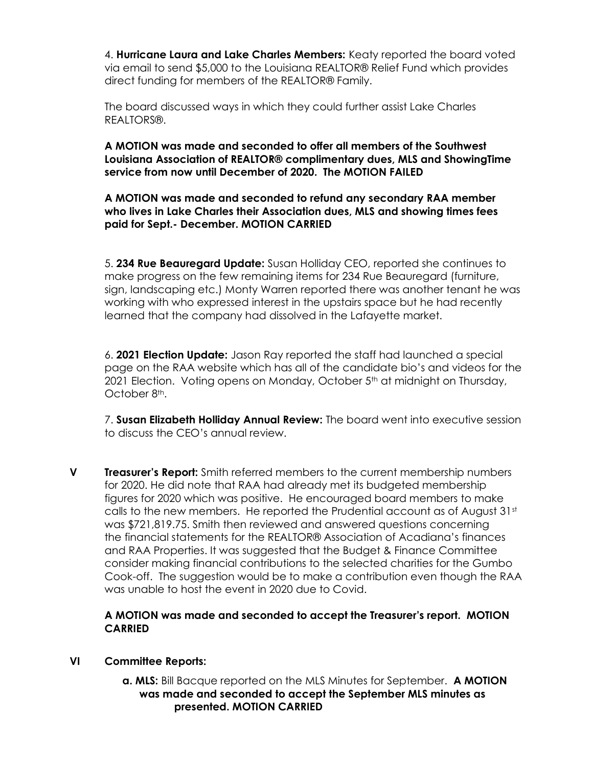4. Hurricane Laura and Lake Charles Members: Keaty reported the board voted via email to send \$5,000 to the Louisiana REALTOR® Relief Fund which provides direct funding for members of the REALTOR® Family.

 The board discussed ways in which they could further assist Lake Charles REALTORS®.

A MOTION was made and seconded to offer all members of the Southwest Louisiana Association of REALTOR® complimentary dues, MLS and ShowingTime service from now until December of 2020. The MOTION FAILED

### A MOTION was made and seconded to refund any secondary RAA member who lives in Lake Charles their Association dues, MLS and showing times fees paid for Sept.- December. MOTION CARRIED

 5. 234 Rue Beauregard Update: Susan Holliday CEO, reported she continues to make progress on the few remaining items for 234 Rue Beauregard (furniture, sign, landscaping etc.) Monty Warren reported there was another tenant he was working with who expressed interest in the upstairs space but he had recently learned that the company had dissolved in the Lafayette market.

 6. 2021 Election Update: Jason Ray reported the staff had launched a special page on the RAA website which has all of the candidate bio's and videos for the 2021 Election. Voting opens on Monday, October 5<sup>th</sup> at midnight on Thursday, October 8th.

7. Susan Elizabeth Holliday Annual Review: The board went into executive session to discuss the CEO's annual review.

V Treasurer's Report: Smith referred members to the current membership numbers for 2020. He did note that RAA had already met its budgeted membership figures for 2020 which was positive. He encouraged board members to make calls to the new members. He reported the Prudential account as of August  $31<sup>st</sup>$  was \$721,819.75. Smith then reviewed and answered questions concerning the financial statements for the REALTOR® Association of Acadiana's finances and RAA Properties. It was suggested that the Budget & Finance Committee consider making financial contributions to the selected charities for the Gumbo Cook-off. The suggestion would be to make a contribution even though the RAA was unable to host the event in 2020 due to Covid.

# A MOTION was made and seconded to accept the Treasurer's report. MOTION CARRIED

# VI Committee Reports:

a. MLS: Bill Bacque reported on the MLS Minutes for September. A MOTION was made and seconded to accept the September MLS minutes as presented. MOTION CARRIED